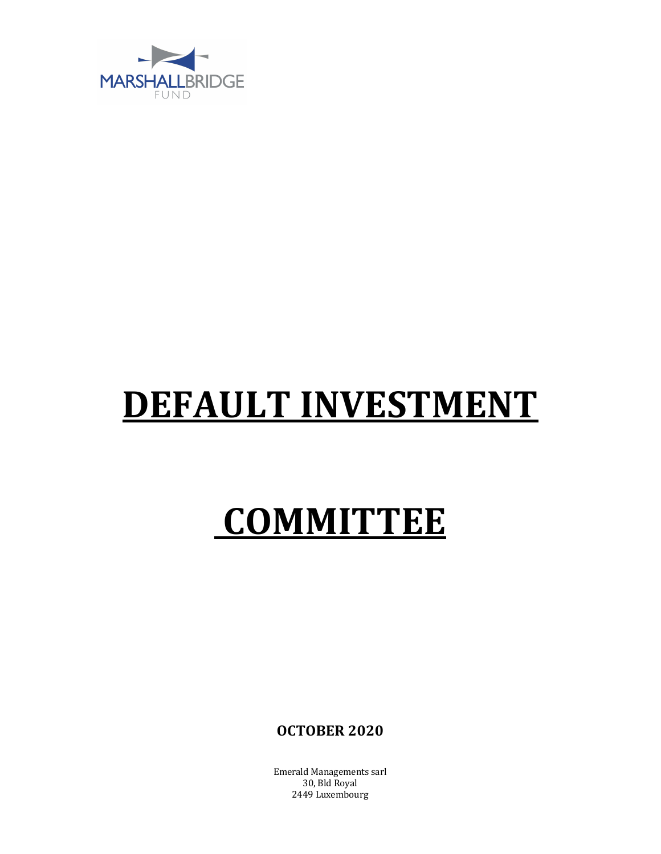

## DEFAULT INVESTMENT

## **COMMITTEE**

**OCTOBER 2020** 

**Emerald Managements sarl** 30, Bld Royal 2449 Luxembourg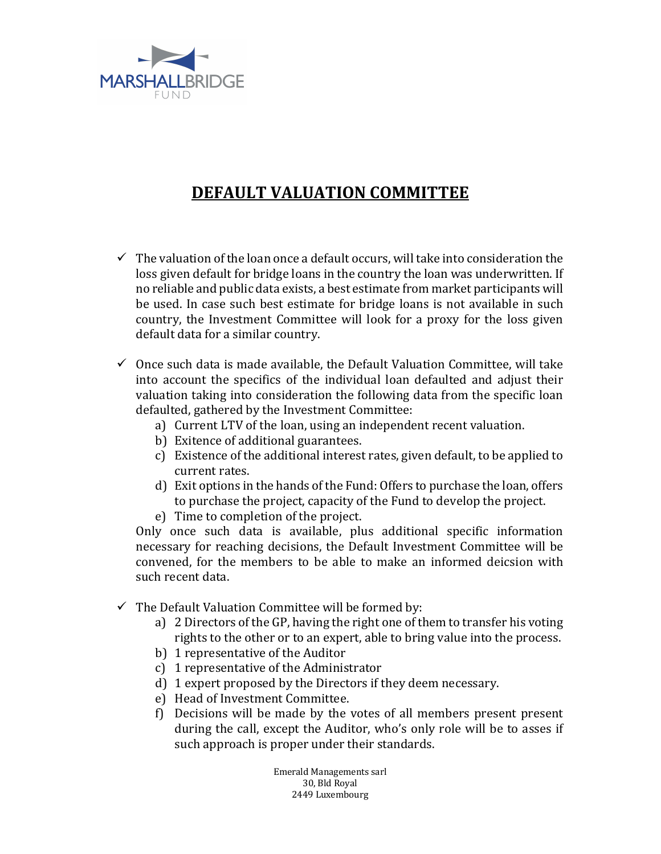

## **DEFAULT VALUATION COMMITTEE**

- $\checkmark$  The valuation of the loan once a default occurs, will take into consideration the loss given default for bridge loans in the country the loan was underwritten. If no reliable and public data exists, a best estimate from market participants will be used. In case such best estimate for bridge loans is not available in such country, the Investment Committee will look for a proxy for the loss given default data for a similar country.
- $\checkmark$  Once such data is made available, the Default Valuation Committee, will take into account the specifics of the individual loan defaulted and adjust their valuation taking into consideration the following data from the specific loan defaulted, gathered by the Investment Committee:
	- a) Current LTV of the loan, using an independent recent valuation.
	- b) Exitence of additional guarantees.
	- c) Existence of the additional interest rates, given default, to be applied to current rates.
	- d) Exit options in the hands of the Fund: Offers to purchase the loan, offers to purchase the project, capacity of the Fund to develop the project.
	- e) Time to completion of the project.

Only once such data is available, plus additional specific information necessary for reaching decisions, the Default Investment Committee will be convened, for the members to be able to make an informed deicsion with such recent data.

- $\checkmark$  The Default Valuation Committee will be formed by:
	- a) 2 Directors of the GP, having the right one of them to transfer his voting rights to the other or to an expert, able to bring value into the process.
	- b) 1 representative of the Auditor
	- c)  $1$  representative of the Administrator
	- d) 1 expert proposed by the Directors if they deem necessary.
	- e) Head of Investment Committee.
	- f) Decisions will be made by the votes of all members present present during the call, except the Auditor, who's only role will be to asses if such approach is proper under their standards.

Emerald Managements sarl 30, Bld Royal 2449 Luxembourg